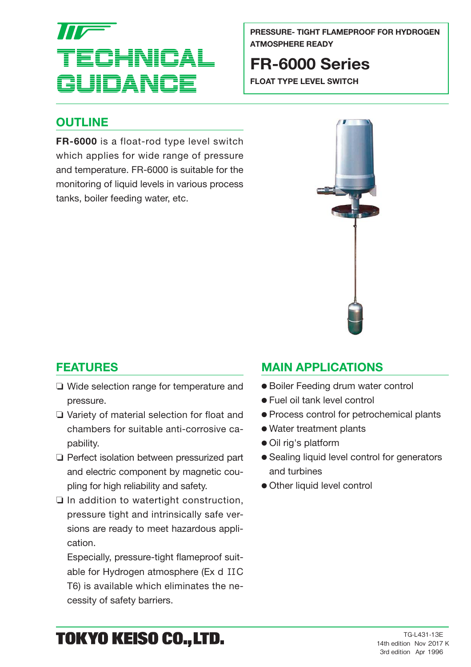# ECHNICAL **JUDANO**

**PRESSURE- TIGHT FLAMEPROOF FOR HYDROGEN ATMOSPHERE READY**

# **FR-6000 Series**

**FLOAT TYPE LEVEL SWITCH**

## **OUTLINE**

**FR-6000** is a float-rod type level switch which applies for wide range of pressure and temperature. FR-6000 is suitable for the monitoring of liquid levels in various process tanks, boiler feeding water, etc.



## **FEATURES**

- ❏ Wide selection range for temperature and pressure.
- ❏ Variety of material selection for float and chambers for suitable anti-corrosive ca pability.
- ❏ Perfect isolation between pressurized part and electric component by magnetic cou pling for high reliability and safety.
- ❏ In addition to watertight construction, pressure tight and intrinsically safe ver sions are ready to meet hazardous appli cation.

Especially, pressure-tight flameproof suit able for Hydrogen atmosphere (Ex d IIC T6) is available which eliminates the ne cessity of safety barriers.

## **MAIN APPLICATIONS**

- Boiler Feeding drum water control
- Fuel oil tank level control
- Process control for petrochemical plants
- Water treatment plants
- Oil rig's platform
- Sealing liquid level control for generators and turbines
- Other liquid level control

# TOKYO KEISO CO., LTD.

TG-L431-13E 14th edition Nov 2017 K 3rd edition Apr 1996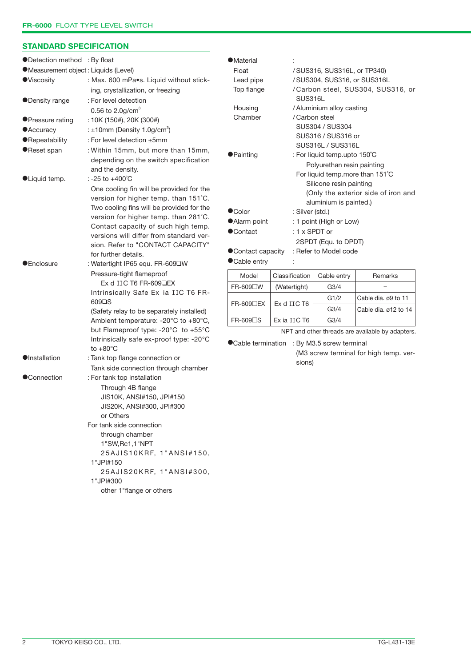#### **STANDARD SPECIFICATION**

| ●Detection method : By float        |                                                                             | <b>•Material</b>                             |                                                            |                                          |                                     |  |  |  |
|-------------------------------------|-----------------------------------------------------------------------------|----------------------------------------------|------------------------------------------------------------|------------------------------------------|-------------------------------------|--|--|--|
| Measurement object: Liquids (Level) |                                                                             | Float                                        |                                                            | /SUS316, SUS316L, or TP340)              |                                     |  |  |  |
| <b>O</b> Viscosity                  | : Max. 600 mPa.s. Liquid without stick-                                     | Lead pipe                                    |                                                            | /SUS304, SUS316, or SUS316L              |                                     |  |  |  |
|                                     | ing, crystallization, or freezing                                           | Top flange                                   |                                                            |                                          | /Carbon steel, SUS304, SUS316, or   |  |  |  |
| <b>ODensity range</b>               | : For level detection                                                       |                                              |                                                            | SUS316L                                  |                                     |  |  |  |
|                                     | 0.56 to $2.0$ g/cm <sup>3</sup>                                             | Housing                                      |                                                            | / Aluminium alloy casting                |                                     |  |  |  |
| ● Pressure rating                   | : 10K (150#), 20K (300#)                                                    | Chamber                                      |                                                            | / Carbon steel                           |                                     |  |  |  |
| <b>• Accuracy</b>                   | : $\pm 10$ mm (Density 1.0g/cm <sup>3</sup> )                               |                                              |                                                            | SUS304 / SUS304                          |                                     |  |  |  |
| <b>•Repeatability</b>               | : For level detection ±5mm                                                  |                                              |                                                            | SUS316 / SUS316 or                       |                                     |  |  |  |
| ●Reset span                         | : Within 15mm, but more than 15mm,                                          |                                              | SUS316L / SUS316L                                          |                                          |                                     |  |  |  |
|                                     | depending on the switch specification                                       | <b>•</b> Painting                            | : For liquid temp.upto 150°C<br>Polyurethan resin painting |                                          |                                     |  |  |  |
|                                     | and the density.                                                            |                                              |                                                            | For liquid temp.more than 151°C          |                                     |  |  |  |
| <b>OLiquid temp.</b>                | : -25 to +400°C                                                             |                                              |                                                            | Silicone resin painting                  |                                     |  |  |  |
|                                     | One cooling fin will be provided for the                                    |                                              |                                                            |                                          | (Only the exterior side of iron and |  |  |  |
|                                     | version for higher temp. than 151°C.                                        |                                              |                                                            | aluminium is painted.)                   |                                     |  |  |  |
|                                     | Two cooling fins will be provided for the                                   | <b>OColor</b>                                | : Silver (std.)                                            |                                          |                                     |  |  |  |
|                                     | version for higher temp. than 281°C.                                        | • Alarm point                                |                                                            | : 1 point (High or Low)<br>: 1 x SPDT or |                                     |  |  |  |
|                                     | Contact capacity of such high temp.                                         | ●Contact                                     |                                                            |                                          |                                     |  |  |  |
|                                     | versions will differ from standard ver-                                     |                                              | 2SPDT (Equ. to DPDT)                                       |                                          |                                     |  |  |  |
|                                     | sion. Refer to "CONTACT CAPACITY"<br>for further details.                   | ● Contact capacity                           |                                                            | : Refer to Model code                    |                                     |  |  |  |
| <b>•</b> Enclosure                  | : Watertight IP65 equ. FR-609 W                                             | ● Cable entry                                |                                                            |                                          |                                     |  |  |  |
|                                     | Pressure-tight flameproof                                                   | Model                                        | Classification                                             | Cable entry                              | Remarks                             |  |  |  |
|                                     | Ex d IIC T6 FR-609 LEX                                                      | FR-609□W                                     | (Watertight)                                               | G3/4                                     |                                     |  |  |  |
|                                     | Intrinsically Safe Ex ia IIC T6 FR-                                         |                                              |                                                            | G1/2                                     | Cable dia. ø9 to 11                 |  |  |  |
|                                     | 609 <sup>IS</sup>                                                           | FR-609 <sup>D</sup> EX                       | Ex d IIC T6                                                | G <sub>3/4</sub>                         | Cable dia. ø12 to 14                |  |  |  |
|                                     | (Safety relay to be separately installed)                                   | FR-609□S                                     | Ex ia IIC T6                                               | G <sub>3/4</sub>                         |                                     |  |  |  |
|                                     | Ambient temperature: -20°C to +80°C,<br>but Flameproof type: -20°C to +55°C |                                              |                                                            |                                          |                                     |  |  |  |
|                                     | Intrinsically safe ex-proof type: -20°C                                     |                                              | NPT and other threads are available by adapters.           |                                          |                                     |  |  |  |
|                                     | to $+80^{\circ}$ C                                                          | ● Cable termination : By M3.5 screw terminal |                                                            |                                          |                                     |  |  |  |
| <b>O</b> Installation               | : Tank top flange connection or                                             | (M3 screw terminal for high temp. ver-       |                                                            |                                          |                                     |  |  |  |
|                                     | Tank side connection through chamber                                        |                                              | sions)                                                     |                                          |                                     |  |  |  |
| ●Connection                         | : For tank top installation                                                 |                                              |                                                            |                                          |                                     |  |  |  |
|                                     | Through 4B flange                                                           |                                              |                                                            |                                          |                                     |  |  |  |
|                                     | JIS10K, ANSI#150, JPI#150                                                   |                                              |                                                            |                                          |                                     |  |  |  |
|                                     | JIS20K, ANSI#300, JPI#300                                                   |                                              |                                                            |                                          |                                     |  |  |  |
|                                     | or Others                                                                   |                                              |                                                            |                                          |                                     |  |  |  |
|                                     | For tank side connection                                                    |                                              |                                                            |                                          |                                     |  |  |  |
|                                     | through chamber                                                             |                                              |                                                            |                                          |                                     |  |  |  |
|                                     | 1"SW, Rc1, 1"NPT                                                            |                                              |                                                            |                                          |                                     |  |  |  |
|                                     | 25AJIS10KRF, 1"ANSI#150,                                                    |                                              |                                                            |                                          |                                     |  |  |  |
|                                     | 1"JPI#150                                                                   |                                              |                                                            |                                          |                                     |  |  |  |
|                                     | 25AJIS20KRF, 1"ANSI#300,                                                    |                                              |                                                            |                                          |                                     |  |  |  |
|                                     | 1"JPI#300                                                                   |                                              |                                                            |                                          |                                     |  |  |  |
|                                     | other 1"flange or others                                                    |                                              |                                                            |                                          |                                     |  |  |  |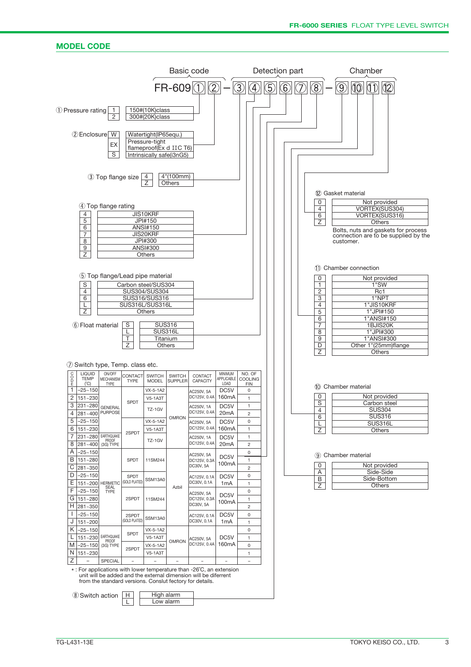#### **MODEL CODE**

|                               |                                                                        |                                                                              |                               |                                                                                                   |                                  | Basic code                                                                                                                                                                                         |                                                         |                                                                                                                              |                | Detection part |                                       | Chamber                                                                                                                                                |
|-------------------------------|------------------------------------------------------------------------|------------------------------------------------------------------------------|-------------------------------|---------------------------------------------------------------------------------------------------|----------------------------------|----------------------------------------------------------------------------------------------------------------------------------------------------------------------------------------------------|---------------------------------------------------------|------------------------------------------------------------------------------------------------------------------------------|----------------|----------------|---------------------------------------|--------------------------------------------------------------------------------------------------------------------------------------------------------|
|                               |                                                                        |                                                                              |                               |                                                                                                   | $FR-609$ <sup><sup>1</sup></sup> | 2                                                                                                                                                                                                  |                                                         | $\mathfrak{D}% _{T}=\mathfrak{D}_{T}\!\left( a,b\right) ,\ \mathfrak{D}_{T}=C_{T}\!\left( a,b\right) ,$<br>$\left( 4\right)$ | $\overline{5}$ | $\widehat{6}$  | $\circledS$                           | $\left  \mathbb{O} \right $<br>$ 0\rangle$<br>$\circledS$                                                                                              |
|                               | 1 Pressure rating                                                      | $\mathbf{1}$<br>2                                                            |                               | 150#(10K)class<br>300#(20K)class                                                                  |                                  |                                                                                                                                                                                                    |                                                         |                                                                                                                              |                |                |                                       |                                                                                                                                                        |
|                               | 2 Enclosure                                                            | W<br>EX<br>$\overline{s}$                                                    |                               | Watertight(IP65equ.)<br>Pressure-tight<br>flameproof(Ex d IIC T6)<br>Intrinsically safe(i3nG5)    |                                  |                                                                                                                                                                                                    |                                                         |                                                                                                                              |                |                |                                       |                                                                                                                                                        |
|                               |                                                                        | 3 Top flange size                                                            |                               | 4<br>Z                                                                                            | 4"(100mm)<br><b>Others</b>       |                                                                                                                                                                                                    |                                                         |                                                                                                                              |                |                |                                       | 12 Gasket material                                                                                                                                     |
|                               | $\overline{4}$<br>5<br>6<br>$\overline{7}$<br>8<br>9<br>$\overline{z}$ | 4) Top flange rating                                                         |                               | JIS10KRF<br>JPI#150<br><b>ANSI#150</b><br>JIS20KRF<br>JPI#300<br><b>ANSI#300</b><br><b>Others</b> |                                  |                                                                                                                                                                                                    |                                                         |                                                                                                                              |                |                | 0<br>4<br>6<br>$\overline{Z}$         | Not provided<br>VORTEX(SUS304)<br>VORTEX(SUS316)<br>Others<br>Bolts, nuts and gaskets for process<br>connection are to be supplied by the<br>customer. |
|                               | $\mathbf S$<br>4<br>6<br>L<br>Z                                        | 5 Top flange/Lead pipe material                                              |                               | Carbon steel/SUS304<br>SUS304/SUS304<br>SUS316/SUS316<br>SUS316L/SUS316L<br>Others                |                                  |                                                                                                                                                                                                    |                                                         |                                                                                                                              |                |                | 0<br>$\mathbf{1}$<br>2<br>3<br>4<br>5 | 11) Chamber connection<br>Not provided<br>1"SW<br>Rc1<br>1"NPT<br>1"JIS10KRF<br>1"JPI#150                                                              |
|                               | (6) Float material                                                     |                                                                              | S<br>L<br>T<br>$\overline{Z}$ | <b>SUS316</b><br>SUS316L<br>Titanium<br><b>Others</b>                                             |                                  |                                                                                                                                                                                                    |                                                         |                                                                                                                              |                |                | 6<br>7<br>8<br>9<br>D<br>Ζ            | 1"ANSI#150<br>1BJIS20K<br>1"JPI#300<br>1"ANSI#300<br>Other 1"(25mm)flange<br>Others                                                                    |
| coor                          | <b>LIQUID</b><br><b>TEMP</b><br>(C)                                    | 7 Switch type, Temp. class etc.<br>ON/OFF<br><b>MECHANISM</b><br><b>TYPE</b> | CONTACT<br><b>TYPE</b>        | <b>SWITCH</b><br><b>MODEL</b>                                                                     | <b>SWITCH</b><br><b>SUPPLER</b>  | CONTACT<br>CAPACITY                                                                                                                                                                                | MINIMUM<br>APPLICABLE<br>LOAD                           | NO. OF<br><b>COOLING</b><br><b>FIN</b>                                                                                       |                |                |                                       | 10 Chamber material                                                                                                                                    |
| 1<br>$\overline{2}$<br>3<br>4 | $-25 - 150$<br>151~230<br>231~280<br>281~400                           | <b>GENERAL</b><br><b>PURPOSE</b>                                             | SPDT                          | VX-5-1A2<br><b>V5-1A3T</b><br>TZ-1GV                                                              |                                  | AC250V, 5A<br>DC125V, 0.4A<br>AC250V, 1A<br>DC125V, 0.4A                                                                                                                                           | DC5V<br>160 <sub>m</sub> A<br>DC5V<br>20 <sub>m</sub> A | $\mathsf 0$<br>1<br>$\mathbf 1$<br>$\overline{c}$                                                                            |                |                | 0<br>S<br>4<br>6                      | Not provided<br>Carbon steel<br><b>SUS304</b><br><b>SUS316</b>                                                                                         |
| 5<br>6<br>7<br>8              | –25~150<br>151~230<br>231~280<br>281~400                               | EARTHQUAKE<br>PROOF<br>(3G) TYPE                                             | 2SPDT                         | VX-5-1A2<br><b>V5-1A3T</b><br>TZ-1GV                                                              | <b>OMRON</b>                     | AC250V, 5A<br>DC125V, 0.4A<br>AC250V, 1A<br>DC125V, 0.4A                                                                                                                                           | DC5V<br>160mA<br>DC5V<br>20 <sub>m</sub> A              | 0<br>$\mathbf 1$<br>1<br>$\overline{c}$                                                                                      |                |                | L<br>Ζ                                | <b>SUS316L</b><br>Others                                                                                                                               |
| Α<br>В<br>С<br>D              | $-25 - 150$<br>151~280<br>281~350<br>$-25 - 150$                       |                                                                              | SPDT<br>SPDT                  | 11SM244                                                                                           |                                  | AC250V, 5A<br>DC125V, 0.3A<br>DC30V, 5A                                                                                                                                                            | DC5V<br>100mA<br>DC5V                                   | $\mathsf 0$<br>$\mathbf{1}$<br>$\overline{c}$<br>0                                                                           |                |                | 0<br>Α                                | (9) Chamber material<br>Not provided<br>Side-Side                                                                                                      |
| E.<br>F<br>G<br>H             | $151 - 200$<br>$-25 - 150$<br>151~280<br>281~350                       | <b>HERMETIC</b><br>SEAL<br>TYPE                                              | <b>GOLD PLATED</b><br>2SPDT   | SSM13A0<br>11SM244                                                                                | Azbil                            | AC125V, 0.1A<br>DC30V, 0.1A<br>AC250V, 5A<br>DC125V, 0.3A<br>DC30V, 5A                                                                                                                             | 1 <sub>m</sub> A<br>DC5V<br>100mA                       | $\mathbf{1}$<br>$\mathsf 0$<br>$\mathbf{1}$<br>$\overline{c}$                                                                |                |                | $\overline{B}$<br>$\overline{Z}$      | Side-Bottom<br>Others                                                                                                                                  |
| J.<br>J<br>Κ                  | $-25 - 150$<br>151~200<br>$-25 - 150$                                  |                                                                              | 2SPDT<br><b>GOLD PLATED</b>   | SSM13A0<br>VX-5-1A2                                                                               |                                  | AC125V, 0.1A<br>DC30V, 0.1A                                                                                                                                                                        | DC <sub>5</sub> V<br>1 <sub>m</sub> A                   | $\mathsf 0$<br>$\mathbf{1}$<br>$\mathsf 0$                                                                                   |                |                |                                       |                                                                                                                                                        |
| Μ<br>N<br>Z                   | 151~230<br>$-25 - 150$<br>151~230                                      | EARTHQUAKE<br><b>PROOF</b><br>(3G) TYPE<br>SPECIAL                           | SPDT<br>2SPDT                 | <b>V5-1A3T</b><br>$VX-5-1A2$<br><b>V5-1A3T</b>                                                    | <b>OMRON</b>                     | AC250V, 5A<br>DC125V, 0.4A                                                                                                                                                                         | DC5V<br>160mA                                           | $\mathbf{1}$<br>$\mathsf 0$<br>1<br>$\overline{\phantom{a}}$                                                                 |                |                |                                       |                                                                                                                                                        |
|                               |                                                                        |                                                                              |                               |                                                                                                   |                                  | *: For applications with lower temperature than -26°C, an extension<br>unit will be added and the external dimension will be diferrent<br>from the standard versions. Conslut fectory for details. |                                                         |                                                                                                                              |                |                |                                       |                                                                                                                                                        |
|                               | <sup>(8)</sup> Switch action                                           |                                                                              | H<br>L                        | High alarm<br>Low alarm                                                                           |                                  |                                                                                                                                                                                                    |                                                         |                                                                                                                              |                |                |                                       |                                                                                                                                                        |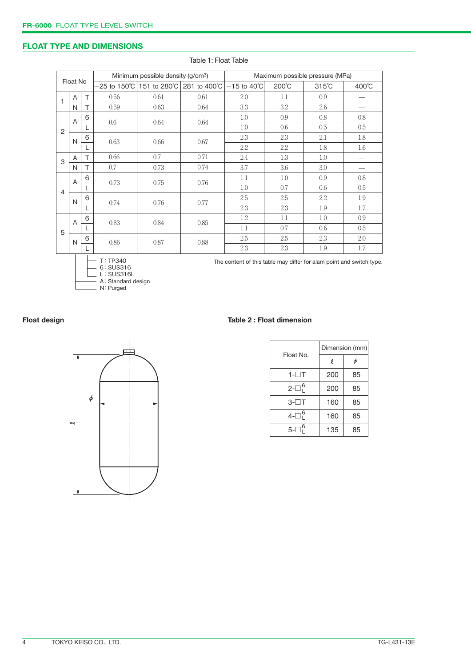#### **FLOAT TYPE AND DIMENSIONS**

|                          |   |   |          | Minimum possible density (g/cm <sup>3</sup> ) |      | Maximum possible pressure (MPa)                                      |       |                 |       |  |
|--------------------------|---|---|----------|-----------------------------------------------|------|----------------------------------------------------------------------|-------|-----------------|-------|--|
| Float No                 |   |   |          |                                               |      |                                                                      |       |                 |       |  |
|                          |   |   |          | -25 to 150℃ 151 to 280℃ 281 to 400℃           |      | $-15$ to 40 $^{\circ}$ C                                             | 200°C | $315^{\circ}$ C | 400°C |  |
| $\mathbf{1}$             | A | T | 0.56     | 0.61                                          | 0.61 | 2.0                                                                  | 1.1   | 0.9             |       |  |
| N                        |   | Τ | 0.59     | 0.63                                          | 0.64 | 3.3                                                                  | 3.2   | 2.6             |       |  |
|                          | A | 6 | 0.6      | 0.64                                          | 0.64 | 1.0                                                                  | 0.9   | 0.8             | 0.8   |  |
| $\overline{2}$           |   |   |          |                                               |      | 1.0                                                                  | 0.6   | 0.5             | 0.5   |  |
| $\mathsf{N}$             |   | 6 | 0.63     | 0.66                                          | 0.67 | 2.3                                                                  | 2.3   | 2.1             | 1.8   |  |
|                          |   |   |          |                                               |      | 2.2                                                                  | 2.2   | 1.8             | 1.6   |  |
| 3                        | Α | Τ | 0.66     | 0.7                                           | 0.71 | 2.4                                                                  | 1.3   | 1.0             |       |  |
|                          | N | T | 0.7      | 0.73                                          | 0.74 | 3.7                                                                  | 3.6   | 3.0             |       |  |
| A<br>$\overline{4}$<br>N |   | 6 | 0.73     | 0.75                                          | 0.76 | 1.1                                                                  | 1.0   | 0.9             | 0.8   |  |
|                          |   |   |          |                                               |      | 1.0                                                                  | 0.7   | 0.6             | 0.5   |  |
|                          |   | 6 | 0.74     | 0.76                                          | 0.77 | 2.5                                                                  | 2.5   | 2.2             | 1.9   |  |
|                          |   |   |          |                                               |      | 2.3                                                                  | 2.3   | 1.9             | 1.7   |  |
|                          | A | 6 | 0.83     | 0.84                                          | 0.85 | 1.2                                                                  | 1.1   | 1.0             | 0.9   |  |
| 5<br>N                   |   |   |          |                                               |      | 1.1                                                                  | 0.7   | 0.6             | 0.5   |  |
|                          |   | 6 | 0.86     | 0.87                                          | 0.88 | 2.5                                                                  | 2.5   | 2.3             | 2.0   |  |
|                          |   |   |          |                                               | 2.3  | 2.3                                                                  | 1.9   | 1.7             |       |  |
|                          |   |   | T: TP340 |                                               |      | The content of this table may differ for alam point and switch type. |       |                 |       |  |

Table 1: Float Table



6 L A N

: SUS316 : SUS316L :Standard design :Purged

#### **Float design Table 2 : Float dimension**

|                 | Dimension (mm) |    |  |  |
|-----------------|----------------|----|--|--|
| Float No.       | l.             | φ  |  |  |
| $1 - \Box T$    | 200            | 85 |  |  |
| $2-\Box_1^6$    | 200            | 85 |  |  |
| 3-⊟T            | 160            | 85 |  |  |
| $4-\square_1^6$ | 160            | 85 |  |  |
| $5-\square^6$   | 135            | 85 |  |  |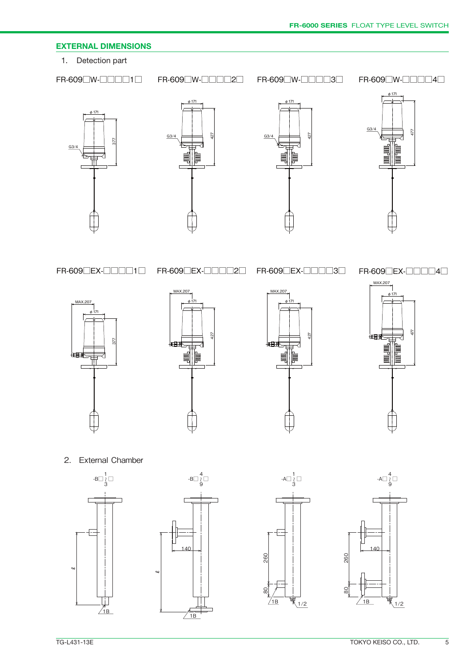#### **EXTERNAL DIMENSIONS**

1. Detection part

FR-609□W-□□□□1□ FR-609□W-□□□□2□ FR-609□W-□□□□3□ FR-609□W-□□□□4□









FR-609□EX-□□□□1□ FR-609□EX-□□□□2□ FR-609□EX-□□□□3□

FR-609□EX-□□□□4□





 $140$ 

 $-B\square$   $\begin{array}{c} 4 \\ 0 \\ 9 \end{array}$ 

 $/1B$ 





2. External Chamber





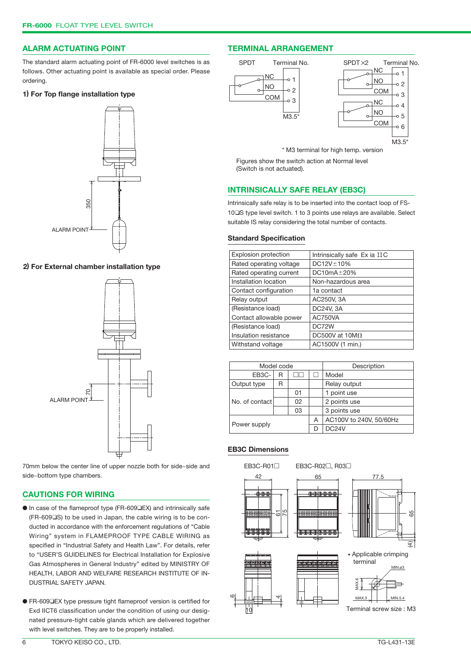#### **ALARM ACTUATING POINT**

The standard alarm actuating point of FR-6000 level switches is as follows. Other actuating point is available as special order. Please ordering.

#### **1) For Top flange installation type**



#### **2) For External chamber installation type**



70mm below the center line of upper nozzle both for side~side and EB3C-R01□ EB3C-R02□, R03□ side~bottom type chambers.

#### **CAUTIONS FOR WIRING**

- In case of the flameproof type (FR-609□EX) and intrinsically safe (FR-609❑S) to be used in Japan, the cable wiring is to be conducted in accordance with the enforcement regulations of "Cable Wiring" system in FLAMEPROOF TYPE CABLE WIRING as specified in "Industrial Safety and Health Law". For details, refer to "USER'S GUIDELINES for Electrical Installation for Explosive Gas Atmospheres in General Industry" edited by MINISTRY OF HEALTH, LABOR AND WELFARE RESEARCH INSTITUTE OF IN-DUSTRIAL SAFETY JAPAN.
- FR-609 LEX type pressure tight flameproof version is certified for Exd IICT6 classification under the condition of using our designated pressure-tight cable glands which are delivered together with level switches. They are to be properly installed.

#### **TERMINAL ARRANGEMENT**



\* M3 terminal for high temp. version

Figures show the switch action at Normal level (Switch is not actuated).

#### **INTRINSICALLY SAFE RELAY (EB3C)**

Intrinsically safe relay is to be inserted into the contact loop of FS-10❑S type level switch. 1 to 3 points use relays are available. Select suitable IS relay considering the total number of contacts.

#### **Standard Specification**

| <b>Explosion protection</b> | Intrinsically safe Ex ia IIC |  |  |
|-----------------------------|------------------------------|--|--|
| Rated operating voltage     | DC12V±10%                    |  |  |
| Rated operating current     | $DC10mA \pm 20%$             |  |  |
| Installation location       | Non-hazardous area           |  |  |
| Contact configuration       | 1a contact                   |  |  |
| Relay output                | AC250V, 3A                   |  |  |
| (Resistance load)           | DC24V, 3A                    |  |  |
| Contact allowable power     | AC750VA                      |  |  |
| (Resistance load)           | DC72W                        |  |  |
| Insulation resistance       | DC500V at $10M\Omega$        |  |  |
| Withstand voltage           | AC1500V (1 min.)             |  |  |

| Model code              |  |    | Description |                         |  |
|-------------------------|--|----|-------------|-------------------------|--|
| EB <sub>3</sub> C-<br>R |  |    | Model       |                         |  |
| Output type<br>R        |  |    |             | Relay output            |  |
|                         |  | 01 |             | 1 point use             |  |
| No. of contact l        |  | 02 |             | 2 points use            |  |
|                         |  | 03 |             | 3 points use            |  |
| Power supply            |  |    | Α           | AC100V to 240V, 50/60Hz |  |
|                         |  |    |             | DC <sub>24</sub> V      |  |

#### **EB3C Dimensions**